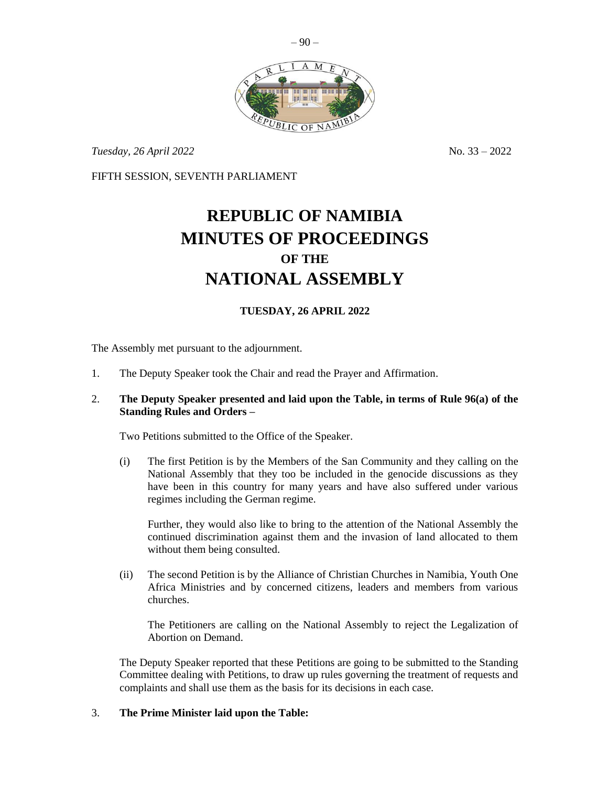

 $-90-$ 

*Tuesday, 26 April 2022* No. 33 – 2022

FIFTH SESSION, SEVENTH PARLIAMENT

# **REPUBLIC OF NAMIBIA MINUTES OF PROCEEDINGS OF THE NATIONAL ASSEMBLY**

## **TUESDAY, 26 APRIL 2022**

The Assembly met pursuant to the adjournment.

- 1. The Deputy Speaker took the Chair and read the Prayer and Affirmation.
- 2. **The Deputy Speaker presented and laid upon the Table, in terms of Rule 96(a) of the Standing Rules and Orders –**

Two Petitions submitted to the Office of the Speaker.

(i) The first Petition is by the Members of the San Community and they calling on the National Assembly that they too be included in the genocide discussions as they have been in this country for many years and have also suffered under various regimes including the German regime.

Further, they would also like to bring to the attention of the National Assembly the continued discrimination against them and the invasion of land allocated to them without them being consulted.

(ii) The second Petition is by the Alliance of Christian Churches in Namibia, Youth One Africa Ministries and by concerned citizens, leaders and members from various churches.

The Petitioners are calling on the National Assembly to reject the Legalization of Abortion on Demand.

The Deputy Speaker reported that these Petitions are going to be submitted to the Standing Committee dealing with Petitions, to draw up rules governing the treatment of requests and complaints and shall use them as the basis for its decisions in each case.

#### 3. **The Prime Minister laid upon the Table:**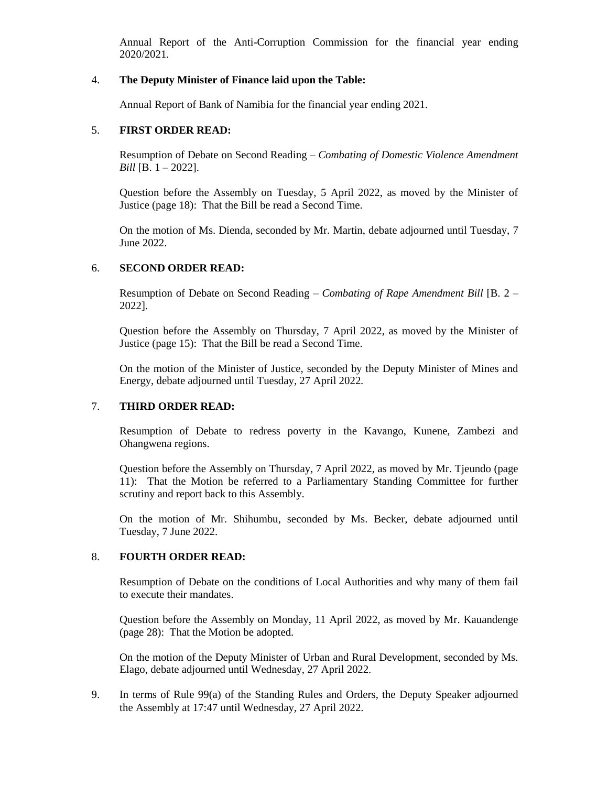Annual Report of the Anti-Corruption Commission for the financial year ending 2020/2021*.*

## 4. **The Deputy Minister of Finance laid upon the Table:**

Annual Report of Bank of Namibia for the financial year ending 2021.

#### 5. **FIRST ORDER READ:**

Resumption of Debate on Second Reading – *Combating of Domestic Violence Amendment Bill* [B. 1 – 2022].

Question before the Assembly on Tuesday, 5 April 2022, as moved by the Minister of Justice (page 18): That the Bill be read a Second Time.

On the motion of Ms. Dienda, seconded by Mr. Martin, debate adjourned until Tuesday, 7 June 2022.

#### 6. **SECOND ORDER READ:**

Resumption of Debate on Second Reading – *Combating of Rape Amendment Bill* [B. 2 – 2022].

Question before the Assembly on Thursday, 7 April 2022, as moved by the Minister of Justice (page 15): That the Bill be read a Second Time.

On the motion of the Minister of Justice, seconded by the Deputy Minister of Mines and Energy, debate adjourned until Tuesday, 27 April 2022.

### 7. **THIRD ORDER READ:**

Resumption of Debate to redress poverty in the Kavango, Kunene, Zambezi and Ohangwena regions.

Question before the Assembly on Thursday, 7 April 2022, as moved by Mr. Tjeundo (page 11): That the Motion be referred to a Parliamentary Standing Committee for further scrutiny and report back to this Assembly.

On the motion of Mr. Shihumbu, seconded by Ms. Becker, debate adjourned until Tuesday, 7 June 2022.

#### 8. **FOURTH ORDER READ:**

Resumption of Debate on the conditions of Local Authorities and why many of them fail to execute their mandates.

Question before the Assembly on Monday, 11 April 2022, as moved by Mr. Kauandenge (page 28): That the Motion be adopted.

On the motion of the Deputy Minister of Urban and Rural Development, seconded by Ms. Elago, debate adjourned until Wednesday, 27 April 2022.

9. In terms of Rule 99(a) of the Standing Rules and Orders, the Deputy Speaker adjourned the Assembly at 17:47 until Wednesday, 27 April 2022.